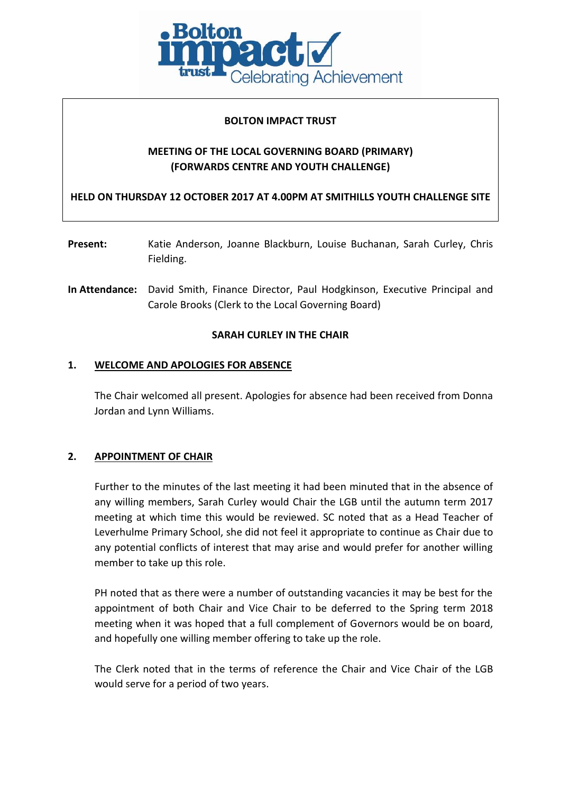

#### **BOLTON IMPACT TRUST**

# **MEETING OF THE LOCAL GOVERNING BOARD (PRIMARY) (FORWARDS CENTRE AND YOUTH CHALLENGE)**

**HELD ON THURSDAY 12 OCTOBER 2017 AT 4.00PM AT SMITHILLS YOUTH CHALLENGE SITE**

- **Present:** Katie Anderson, Joanne Blackburn, Louise Buchanan, Sarah Curley, Chris Fielding.
- **In Attendance:** David Smith, Finance Director, Paul Hodgkinson, Executive Principal and Carole Brooks (Clerk to the Local Governing Board)

#### **SARAH CURLEY IN THE CHAIR**

#### **1. WELCOME AND APOLOGIES FOR ABSENCE**

The Chair welcomed all present. Apologies for absence had been received from Donna Jordan and Lynn Williams.

# **2. APPOINTMENT OF CHAIR**

Further to the minutes of the last meeting it had been minuted that in the absence of any willing members, Sarah Curley would Chair the LGB until the autumn term 2017 meeting at which time this would be reviewed. SC noted that as a Head Teacher of Leverhulme Primary School, she did not feel it appropriate to continue as Chair due to any potential conflicts of interest that may arise and would prefer for another willing member to take up this role.

PH noted that as there were a number of outstanding vacancies it may be best for the appointment of both Chair and Vice Chair to be deferred to the Spring term 2018 meeting when it was hoped that a full complement of Governors would be on board, and hopefully one willing member offering to take up the role.

The Clerk noted that in the terms of reference the Chair and Vice Chair of the LGB would serve for a period of two years.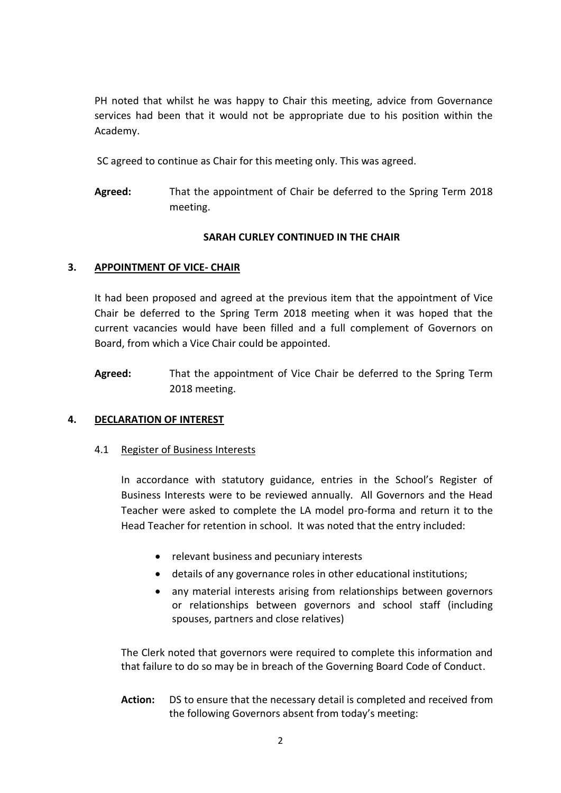PH noted that whilst he was happy to Chair this meeting, advice from Governance services had been that it would not be appropriate due to his position within the Academy.

SC agreed to continue as Chair for this meeting only. This was agreed.

**Agreed:** That the appointment of Chair be deferred to the Spring Term 2018 meeting.

# **SARAH CURLEY CONTINUED IN THE CHAIR**

# **3. APPOINTMENT OF VICE- CHAIR**

It had been proposed and agreed at the previous item that the appointment of Vice Chair be deferred to the Spring Term 2018 meeting when it was hoped that the current vacancies would have been filled and a full complement of Governors on Board, from which a Vice Chair could be appointed.

**Agreed:** That the appointment of Vice Chair be deferred to the Spring Term 2018 meeting.

# **4. DECLARATION OF INTEREST**

# 4.1 Register of Business Interests

In accordance with statutory guidance, entries in the School's Register of Business Interests were to be reviewed annually. All Governors and the Head Teacher were asked to complete the LA model pro-forma and return it to the Head Teacher for retention in school. It was noted that the entry included:

- relevant business and pecuniary interests
- details of any governance roles in other educational institutions;
- any material interests arising from relationships between governors or relationships between governors and school staff (including spouses, partners and close relatives)

The Clerk noted that governors were required to complete this information and that failure to do so may be in breach of the Governing Board Code of Conduct.

**Action:** DS to ensure that the necessary detail is completed and received from the following Governors absent from today's meeting: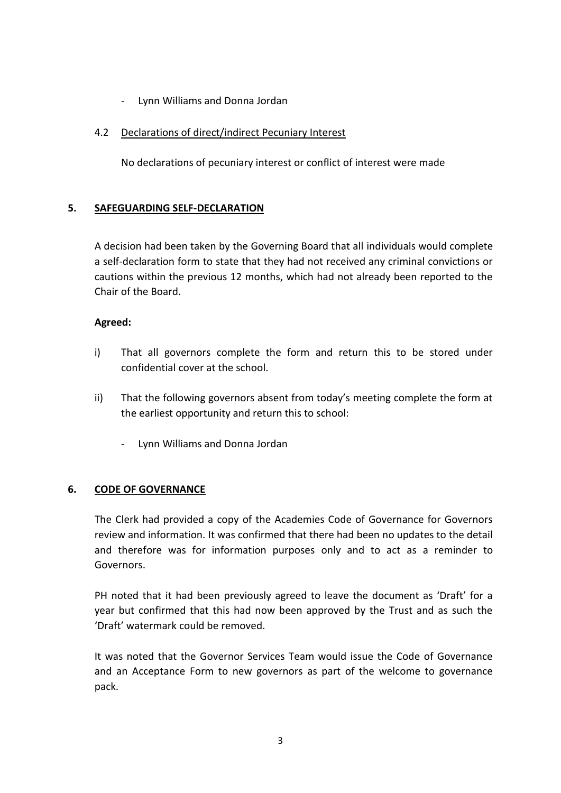- Lynn Williams and Donna Jordan

### 4.2 Declarations of direct/indirect Pecuniary Interest

No declarations of pecuniary interest or conflict of interest were made

### **5. SAFEGUARDING SELF-DECLARATION**

A decision had been taken by the Governing Board that all individuals would complete a self-declaration form to state that they had not received any criminal convictions or cautions within the previous 12 months, which had not already been reported to the Chair of the Board.

#### **Agreed:**

- i) That all governors complete the form and return this to be stored under confidential cover at the school.
- ii) That the following governors absent from today's meeting complete the form at the earliest opportunity and return this to school:
	- Lynn Williams and Donna Jordan

#### **6. CODE OF GOVERNANCE**

The Clerk had provided a copy of the Academies Code of Governance for Governors review and information. It was confirmed that there had been no updates to the detail and therefore was for information purposes only and to act as a reminder to Governors.

PH noted that it had been previously agreed to leave the document as 'Draft' for a year but confirmed that this had now been approved by the Trust and as such the 'Draft' watermark could be removed.

It was noted that the Governor Services Team would issue the Code of Governance and an Acceptance Form to new governors as part of the welcome to governance pack.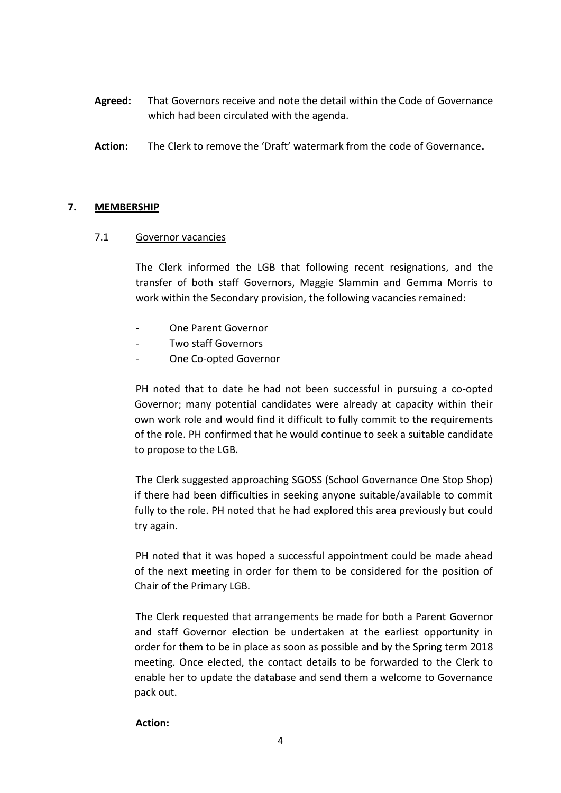- **Agreed:** That Governors receive and note the detail within the Code of Governance which had been circulated with the agenda.
- **Action:** The Clerk to remove the 'Draft' watermark from the code of Governance**.**

#### **7. MEMBERSHIP**

#### 7.1 Governor vacancies

The Clerk informed the LGB that following recent resignations, and the transfer of both staff Governors, Maggie Slammin and Gemma Morris to work within the Secondary provision, the following vacancies remained:

- One Parent Governor
- Two staff Governors
- One Co-opted Governor

PH noted that to date he had not been successful in pursuing a co-opted Governor; many potential candidates were already at capacity within their own work role and would find it difficult to fully commit to the requirements of the role. PH confirmed that he would continue to seek a suitable candidate to propose to the LGB.

The Clerk suggested approaching SGOSS (School Governance One Stop Shop) if there had been difficulties in seeking anyone suitable/available to commit fully to the role. PH noted that he had explored this area previously but could try again.

PH noted that it was hoped a successful appointment could be made ahead of the next meeting in order for them to be considered for the position of Chair of the Primary LGB.

The Clerk requested that arrangements be made for both a Parent Governor and staff Governor election be undertaken at the earliest opportunity in order for them to be in place as soon as possible and by the Spring term 2018 meeting. Once elected, the contact details to be forwarded to the Clerk to enable her to update the database and send them a welcome to Governance pack out.

#### **Action:**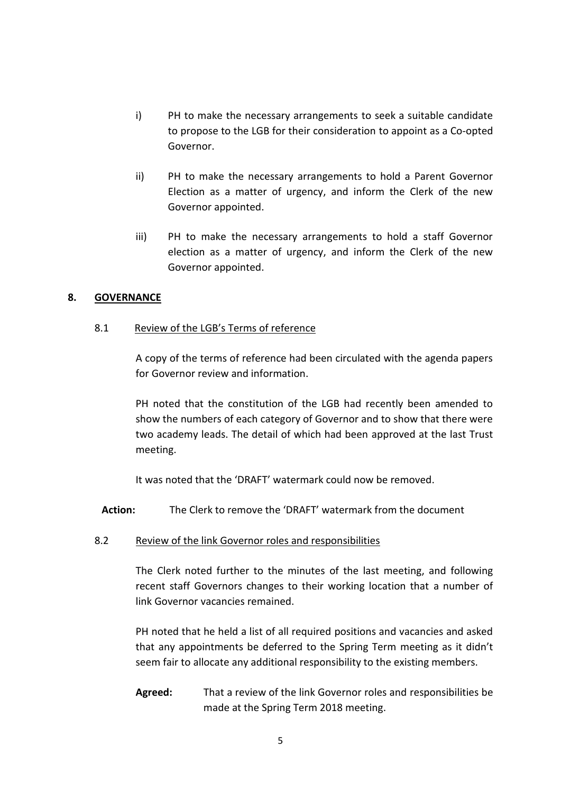- i) PH to make the necessary arrangements to seek a suitable candidate to propose to the LGB for their consideration to appoint as a Co-opted Governor.
- ii) PH to make the necessary arrangements to hold a Parent Governor Election as a matter of urgency, and inform the Clerk of the new Governor appointed.
- iii) PH to make the necessary arrangements to hold a staff Governor election as a matter of urgency, and inform the Clerk of the new Governor appointed.

### **8. GOVERNANCE**

#### 8.1 Review of the LGB's Terms of reference

A copy of the terms of reference had been circulated with the agenda papers for Governor review and information.

PH noted that the constitution of the LGB had recently been amended to show the numbers of each category of Governor and to show that there were two academy leads. The detail of which had been approved at the last Trust meeting.

It was noted that the 'DRAFT' watermark could now be removed.

- **Action:** The Clerk to remove the 'DRAFT' watermark from the document
- 8.2 Review of the link Governor roles and responsibilities

The Clerk noted further to the minutes of the last meeting, and following recent staff Governors changes to their working location that a number of link Governor vacancies remained.

PH noted that he held a list of all required positions and vacancies and asked that any appointments be deferred to the Spring Term meeting as it didn't seem fair to allocate any additional responsibility to the existing members.

**Agreed:** That a review of the link Governor roles and responsibilities be made at the Spring Term 2018 meeting.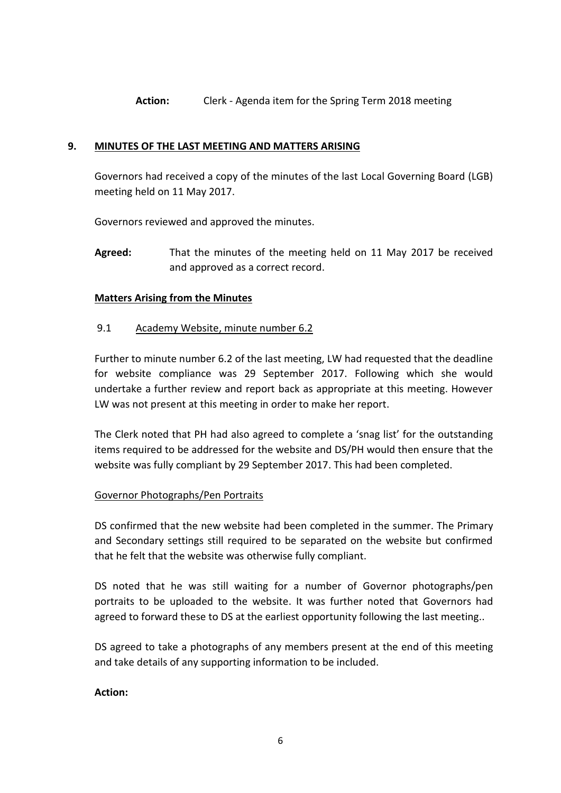**Action:** Clerk - Agenda item for the Spring Term 2018 meeting

### **9. MINUTES OF THE LAST MEETING AND MATTERS ARISING**

Governors had received a copy of the minutes of the last Local Governing Board (LGB) meeting held on 11 May 2017.

Governors reviewed and approved the minutes.

**Agreed:** That the minutes of the meeting held on 11 May 2017 be received and approved as a correct record.

### **Matters Arising from the Minutes**

### 9.1 Academy Website, minute number 6.2

Further to minute number 6.2 of the last meeting, LW had requested that the deadline for website compliance was 29 September 2017. Following which she would undertake a further review and report back as appropriate at this meeting. However LW was not present at this meeting in order to make her report.

The Clerk noted that PH had also agreed to complete a 'snag list' for the outstanding items required to be addressed for the website and DS/PH would then ensure that the website was fully compliant by 29 September 2017. This had been completed.

# Governor Photographs/Pen Portraits

DS confirmed that the new website had been completed in the summer. The Primary and Secondary settings still required to be separated on the website but confirmed that he felt that the website was otherwise fully compliant.

DS noted that he was still waiting for a number of Governor photographs/pen portraits to be uploaded to the website. It was further noted that Governors had agreed to forward these to DS at the earliest opportunity following the last meeting..

DS agreed to take a photographs of any members present at the end of this meeting and take details of any supporting information to be included.

#### **Action:**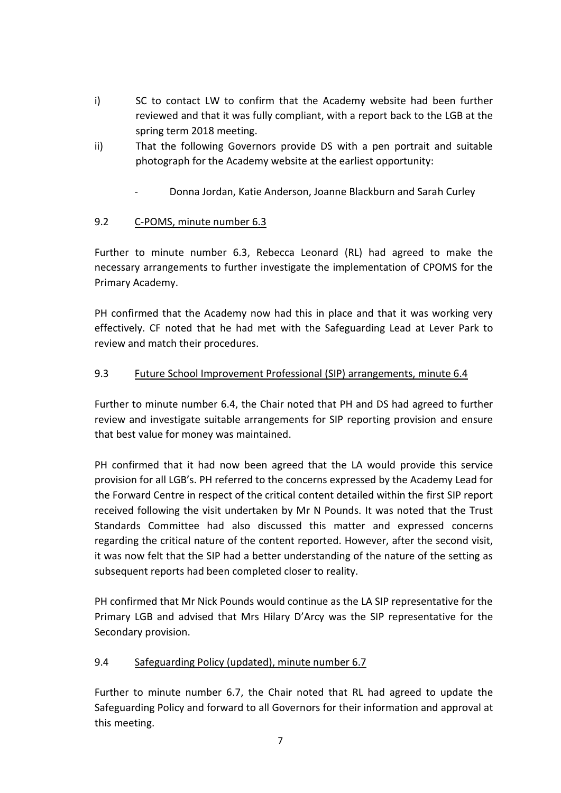- i) SC to contact LW to confirm that the Academy website had been further reviewed and that it was fully compliant, with a report back to the LGB at the spring term 2018 meeting.
- ii) That the following Governors provide DS with a pen portrait and suitable photograph for the Academy website at the earliest opportunity:
	- Donna Jordan, Katie Anderson, Joanne Blackburn and Sarah Curley

# 9.2 C-POMS, minute number 6.3

Further to minute number 6.3, Rebecca Leonard (RL) had agreed to make the necessary arrangements to further investigate the implementation of CPOMS for the Primary Academy.

PH confirmed that the Academy now had this in place and that it was working very effectively. CF noted that he had met with the Safeguarding Lead at Lever Park to review and match their procedures.

# 9.3 Future School Improvement Professional (SIP) arrangements, minute 6.4

Further to minute number 6.4, the Chair noted that PH and DS had agreed to further review and investigate suitable arrangements for SIP reporting provision and ensure that best value for money was maintained.

PH confirmed that it had now been agreed that the LA would provide this service provision for all LGB's. PH referred to the concerns expressed by the Academy Lead for the Forward Centre in respect of the critical content detailed within the first SIP report received following the visit undertaken by Mr N Pounds. It was noted that the Trust Standards Committee had also discussed this matter and expressed concerns regarding the critical nature of the content reported. However, after the second visit, it was now felt that the SIP had a better understanding of the nature of the setting as subsequent reports had been completed closer to reality.

PH confirmed that Mr Nick Pounds would continue as the LA SIP representative for the Primary LGB and advised that Mrs Hilary D'Arcy was the SIP representative for the Secondary provision.

# 9.4 Safeguarding Policy (updated), minute number 6.7

Further to minute number 6.7, the Chair noted that RL had agreed to update the Safeguarding Policy and forward to all Governors for their information and approval at this meeting.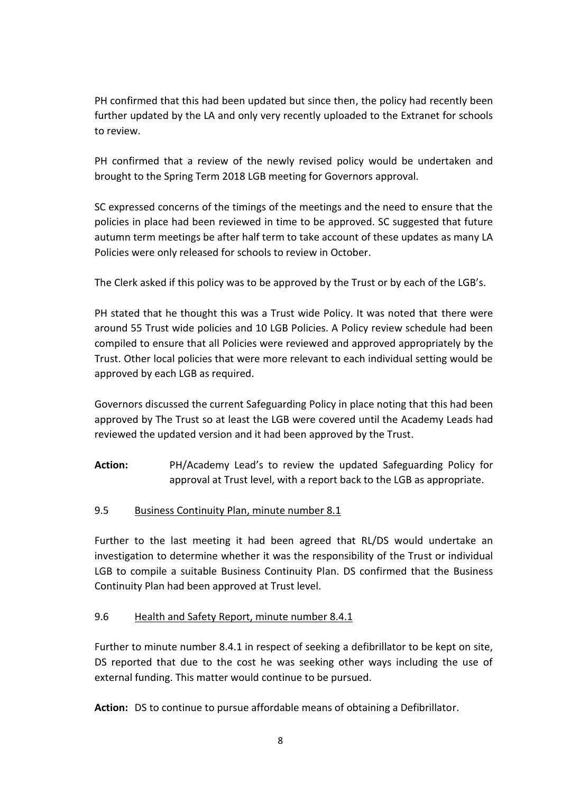PH confirmed that this had been updated but since then, the policy had recently been further updated by the LA and only very recently uploaded to the Extranet for schools to review.

PH confirmed that a review of the newly revised policy would be undertaken and brought to the Spring Term 2018 LGB meeting for Governors approval.

SC expressed concerns of the timings of the meetings and the need to ensure that the policies in place had been reviewed in time to be approved. SC suggested that future autumn term meetings be after half term to take account of these updates as many LA Policies were only released for schools to review in October.

The Clerk asked if this policy was to be approved by the Trust or by each of the LGB's.

PH stated that he thought this was a Trust wide Policy. It was noted that there were around 55 Trust wide policies and 10 LGB Policies. A Policy review schedule had been compiled to ensure that all Policies were reviewed and approved appropriately by the Trust. Other local policies that were more relevant to each individual setting would be approved by each LGB as required.

Governors discussed the current Safeguarding Policy in place noting that this had been approved by The Trust so at least the LGB were covered until the Academy Leads had reviewed the updated version and it had been approved by the Trust.

**Action:** PH/Academy Lead's to review the updated Safeguarding Policy for approval at Trust level, with a report back to the LGB as appropriate.

# 9.5 Business Continuity Plan, minute number 8.1

Further to the last meeting it had been agreed that RL/DS would undertake an investigation to determine whether it was the responsibility of the Trust or individual LGB to compile a suitable Business Continuity Plan. DS confirmed that the Business Continuity Plan had been approved at Trust level.

# 9.6 Health and Safety Report, minute number 8.4.1

Further to minute number 8.4.1 in respect of seeking a defibrillator to be kept on site, DS reported that due to the cost he was seeking other ways including the use of external funding. This matter would continue to be pursued.

**Action:** DS to continue to pursue affordable means of obtaining a Defibrillator.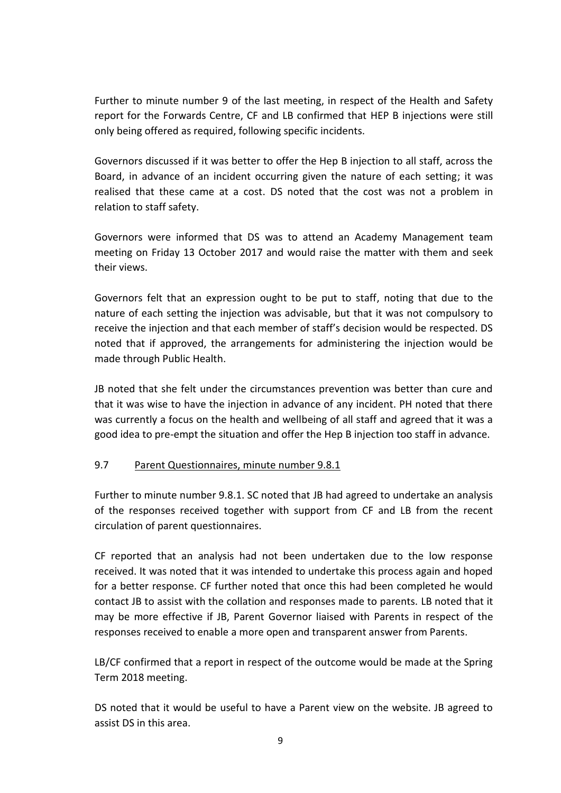Further to minute number 9 of the last meeting, in respect of the Health and Safety report for the Forwards Centre, CF and LB confirmed that HEP B injections were still only being offered as required, following specific incidents.

Governors discussed if it was better to offer the Hep B injection to all staff, across the Board, in advance of an incident occurring given the nature of each setting; it was realised that these came at a cost. DS noted that the cost was not a problem in relation to staff safety.

Governors were informed that DS was to attend an Academy Management team meeting on Friday 13 October 2017 and would raise the matter with them and seek their views.

Governors felt that an expression ought to be put to staff, noting that due to the nature of each setting the injection was advisable, but that it was not compulsory to receive the injection and that each member of staff's decision would be respected. DS noted that if approved, the arrangements for administering the injection would be made through Public Health.

JB noted that she felt under the circumstances prevention was better than cure and that it was wise to have the injection in advance of any incident. PH noted that there was currently a focus on the health and wellbeing of all staff and agreed that it was a good idea to pre-empt the situation and offer the Hep B injection too staff in advance.

# 9.7 Parent Questionnaires, minute number 9.8.1

Further to minute number 9.8.1. SC noted that JB had agreed to undertake an analysis of the responses received together with support from CF and LB from the recent circulation of parent questionnaires.

CF reported that an analysis had not been undertaken due to the low response received. It was noted that it was intended to undertake this process again and hoped for a better response. CF further noted that once this had been completed he would contact JB to assist with the collation and responses made to parents. LB noted that it may be more effective if JB, Parent Governor liaised with Parents in respect of the responses received to enable a more open and transparent answer from Parents.

LB/CF confirmed that a report in respect of the outcome would be made at the Spring Term 2018 meeting.

DS noted that it would be useful to have a Parent view on the website. JB agreed to assist DS in this area.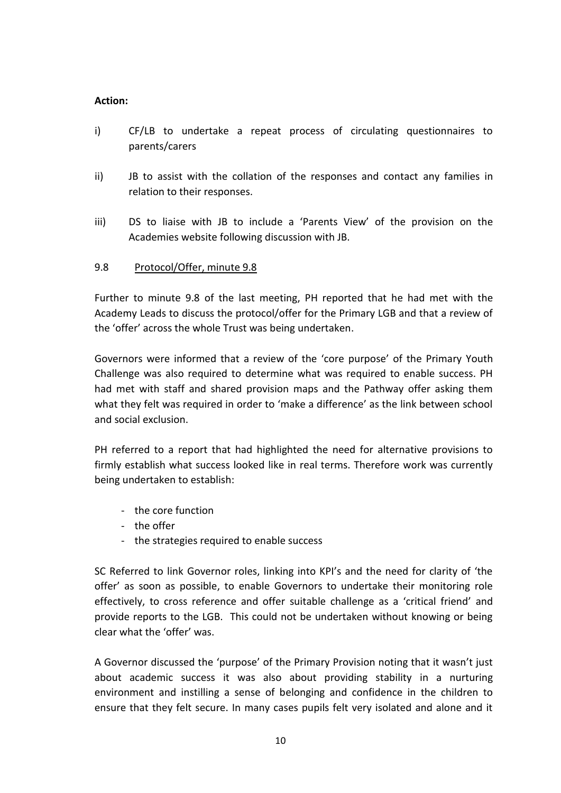#### **Action:**

- i) CF/LB to undertake a repeat process of circulating questionnaires to parents/carers
- ii) JB to assist with the collation of the responses and contact any families in relation to their responses.
- iii) DS to liaise with JB to include a 'Parents View' of the provision on the Academies website following discussion with JB.

# 9.8 Protocol/Offer, minute 9.8

Further to minute 9.8 of the last meeting, PH reported that he had met with the Academy Leads to discuss the protocol/offer for the Primary LGB and that a review of the 'offer' across the whole Trust was being undertaken.

Governors were informed that a review of the 'core purpose' of the Primary Youth Challenge was also required to determine what was required to enable success. PH had met with staff and shared provision maps and the Pathway offer asking them what they felt was required in order to 'make a difference' as the link between school and social exclusion.

PH referred to a report that had highlighted the need for alternative provisions to firmly establish what success looked like in real terms. Therefore work was currently being undertaken to establish:

- the core function
- the offer
- the strategies required to enable success

SC Referred to link Governor roles, linking into KPI's and the need for clarity of 'the offer' as soon as possible, to enable Governors to undertake their monitoring role effectively, to cross reference and offer suitable challenge as a 'critical friend' and provide reports to the LGB. This could not be undertaken without knowing or being clear what the 'offer' was.

A Governor discussed the 'purpose' of the Primary Provision noting that it wasn't just about academic success it was also about providing stability in a nurturing environment and instilling a sense of belonging and confidence in the children to ensure that they felt secure. In many cases pupils felt very isolated and alone and it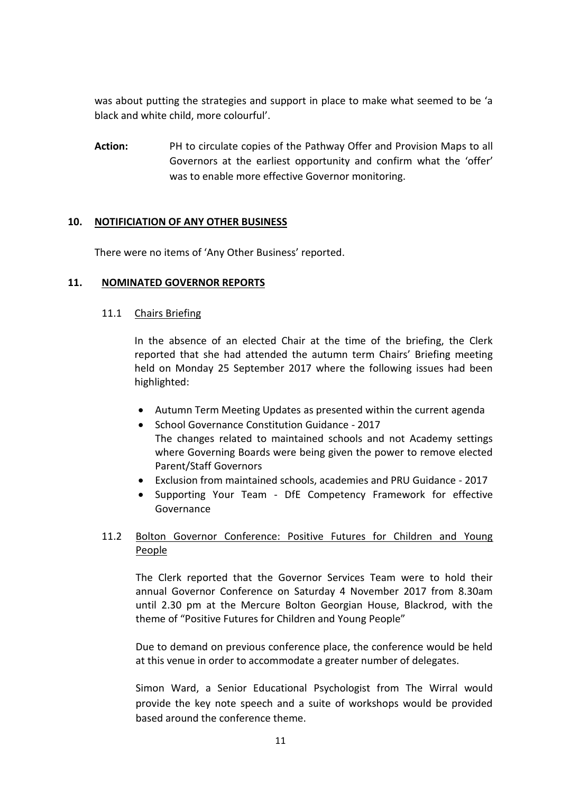was about putting the strategies and support in place to make what seemed to be 'a black and white child, more colourful'.

**Action:** PH to circulate copies of the Pathway Offer and Provision Maps to all Governors at the earliest opportunity and confirm what the 'offer' was to enable more effective Governor monitoring.

### **10. NOTIFICIATION OF ANY OTHER BUSINESS**

There were no items of 'Any Other Business' reported.

### **11. NOMINATED GOVERNOR REPORTS**

#### 11.1 Chairs Briefing

In the absence of an elected Chair at the time of the briefing, the Clerk reported that she had attended the autumn term Chairs' Briefing meeting held on Monday 25 September 2017 where the following issues had been highlighted:

- Autumn Term Meeting Updates as presented within the current agenda
- School Governance Constitution Guidance 2017 The changes related to maintained schools and not Academy settings where Governing Boards were being given the power to remove elected Parent/Staff Governors
- Exclusion from maintained schools, academies and PRU Guidance 2017
- Supporting Your Team DfE Competency Framework for effective Governance

# 11.2 Bolton Governor Conference: Positive Futures for Children and Young People

The Clerk reported that the Governor Services Team were to hold their annual Governor Conference on Saturday 4 November 2017 from 8.30am until 2.30 pm at the Mercure Bolton Georgian House, Blackrod, with the theme of "Positive Futures for Children and Young People"

Due to demand on previous conference place, the conference would be held at this venue in order to accommodate a greater number of delegates.

Simon Ward, a Senior Educational Psychologist from The Wirral would provide the key note speech and a suite of workshops would be provided based around the conference theme.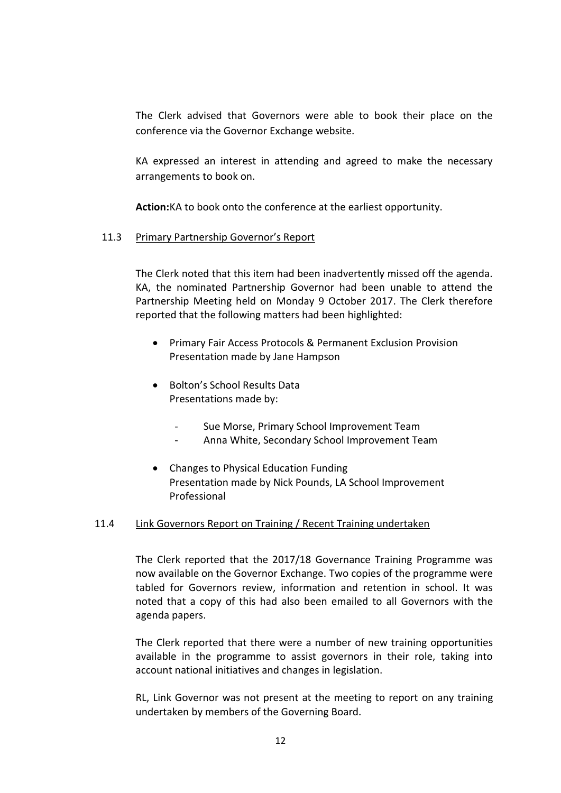The Clerk advised that Governors were able to book their place on the conference via the Governor Exchange website.

KA expressed an interest in attending and agreed to make the necessary arrangements to book on.

**Action:**KA to book onto the conference at the earliest opportunity.

### 11.3 Primary Partnership Governor's Report

The Clerk noted that this item had been inadvertently missed off the agenda. KA, the nominated Partnership Governor had been unable to attend the Partnership Meeting held on Monday 9 October 2017. The Clerk therefore reported that the following matters had been highlighted:

- Primary Fair Access Protocols & Permanent Exclusion Provision Presentation made by Jane Hampson
- Bolton's School Results Data Presentations made by:
	- Sue Morse, Primary School Improvement Team
	- Anna White, Secondary School Improvement Team
- Changes to Physical Education Funding Presentation made by Nick Pounds, LA School Improvement Professional

#### 11.4 Link Governors Report on Training / Recent Training undertaken

The Clerk reported that the 2017/18 Governance Training Programme was now available on the Governor Exchange. Two copies of the programme were tabled for Governors review, information and retention in school. It was noted that a copy of this had also been emailed to all Governors with the agenda papers.

The Clerk reported that there were a number of new training opportunities available in the programme to assist governors in their role, taking into account national initiatives and changes in legislation.

RL, Link Governor was not present at the meeting to report on any training undertaken by members of the Governing Board.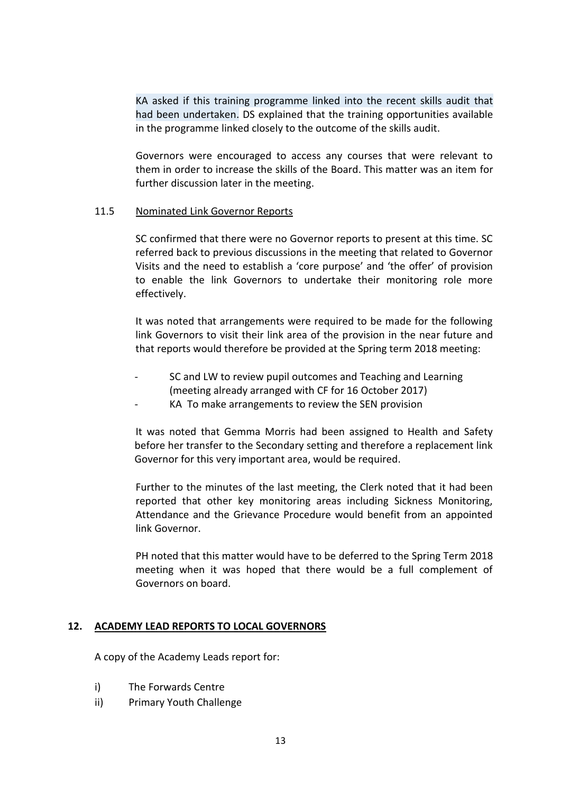KA asked if this training programme linked into the recent skills audit that had been undertaken. DS explained that the training opportunities available in the programme linked closely to the outcome of the skills audit.

Governors were encouraged to access any courses that were relevant to them in order to increase the skills of the Board. This matter was an item for further discussion later in the meeting.

#### 11.5 Nominated Link Governor Reports

SC confirmed that there were no Governor reports to present at this time. SC referred back to previous discussions in the meeting that related to Governor Visits and the need to establish a 'core purpose' and 'the offer' of provision to enable the link Governors to undertake their monitoring role more effectively.

It was noted that arrangements were required to be made for the following link Governors to visit their link area of the provision in the near future and that reports would therefore be provided at the Spring term 2018 meeting:

- SC and LW to review pupil outcomes and Teaching and Learning (meeting already arranged with CF for 16 October 2017)
- KA To make arrangements to review the SEN provision

It was noted that Gemma Morris had been assigned to Health and Safety before her transfer to the Secondary setting and therefore a replacement link Governor for this very important area, would be required.

Further to the minutes of the last meeting, the Clerk noted that it had been reported that other key monitoring areas including Sickness Monitoring, Attendance and the Grievance Procedure would benefit from an appointed link Governor.

PH noted that this matter would have to be deferred to the Spring Term 2018 meeting when it was hoped that there would be a full complement of Governors on board.

#### **12. ACADEMY LEAD REPORTS TO LOCAL GOVERNORS**

A copy of the Academy Leads report for:

- i) The Forwards Centre
- ii) Primary Youth Challenge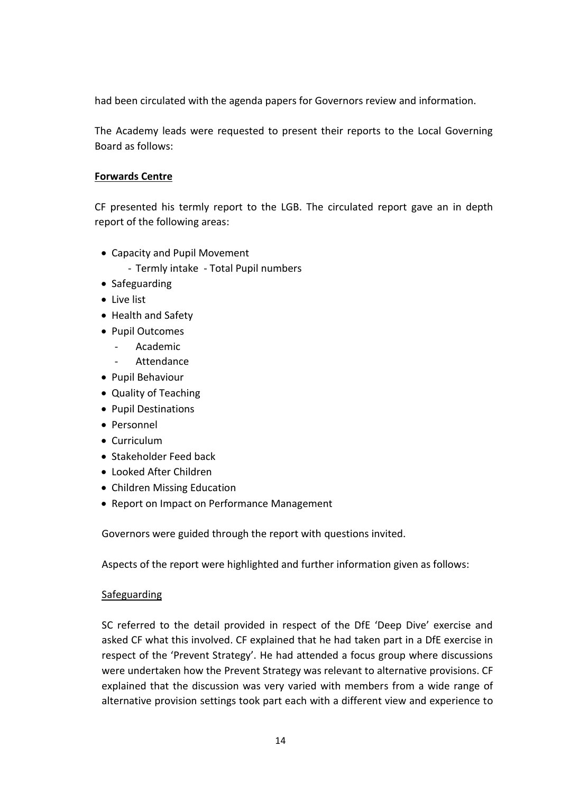had been circulated with the agenda papers for Governors review and information.

The Academy leads were requested to present their reports to the Local Governing Board as follows:

# **Forwards Centre**

CF presented his termly report to the LGB. The circulated report gave an in depth report of the following areas:

- Capacity and Pupil Movement
	- Termly intake Total Pupil numbers
- Safeguarding
- Live list
- Health and Safety
- Pupil Outcomes
	- Academic
	- Attendance
- Pupil Behaviour
- Quality of Teaching
- Pupil Destinations
- Personnel
- Curriculum
- Stakeholder Feed back
- Looked After Children
- Children Missing Education
- Report on Impact on Performance Management

Governors were guided through the report with questions invited.

Aspects of the report were highlighted and further information given as follows:

# Safeguarding

SC referred to the detail provided in respect of the DfE 'Deep Dive' exercise and asked CF what this involved. CF explained that he had taken part in a DfE exercise in respect of the 'Prevent Strategy'. He had attended a focus group where discussions were undertaken how the Prevent Strategy was relevant to alternative provisions. CF explained that the discussion was very varied with members from a wide range of alternative provision settings took part each with a different view and experience to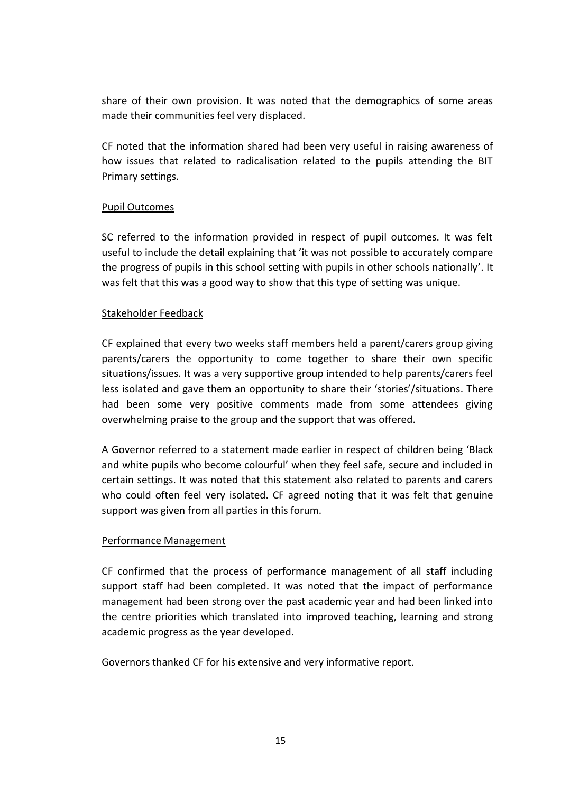share of their own provision. It was noted that the demographics of some areas made their communities feel very displaced.

CF noted that the information shared had been very useful in raising awareness of how issues that related to radicalisation related to the pupils attending the BIT Primary settings.

### Pupil Outcomes

SC referred to the information provided in respect of pupil outcomes. It was felt useful to include the detail explaining that 'it was not possible to accurately compare the progress of pupils in this school setting with pupils in other schools nationally'. It was felt that this was a good way to show that this type of setting was unique.

### Stakeholder Feedback

CF explained that every two weeks staff members held a parent/carers group giving parents/carers the opportunity to come together to share their own specific situations/issues. It was a very supportive group intended to help parents/carers feel less isolated and gave them an opportunity to share their 'stories'/situations. There had been some very positive comments made from some attendees giving overwhelming praise to the group and the support that was offered.

A Governor referred to a statement made earlier in respect of children being 'Black and white pupils who become colourful' when they feel safe, secure and included in certain settings. It was noted that this statement also related to parents and carers who could often feel very isolated. CF agreed noting that it was felt that genuine support was given from all parties in this forum.

#### Performance Management

CF confirmed that the process of performance management of all staff including support staff had been completed. It was noted that the impact of performance management had been strong over the past academic year and had been linked into the centre priorities which translated into improved teaching, learning and strong academic progress as the year developed.

Governors thanked CF for his extensive and very informative report.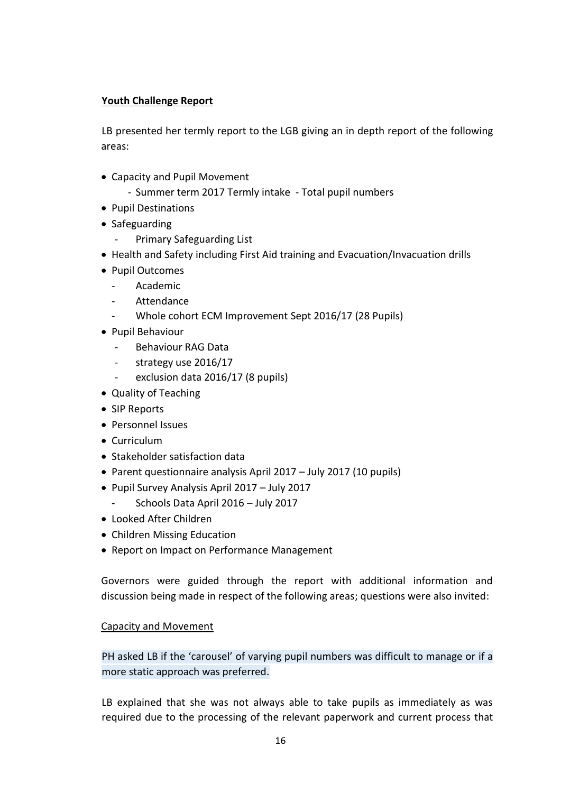### **Youth Challenge Report**

LB presented her termly report to the LGB giving an in depth report of the following areas:

- Capacity and Pupil Movement
	- Summer term 2017 Termly intake Total pupil numbers
- Pupil Destinations
- Safeguarding
	- Primary Safeguarding List
- Health and Safety including First Aid training and Evacuation/Invacuation drills
- Pupil Outcomes
	- Academic
	- **Attendance**
	- Whole cohort ECM Improvement Sept 2016/17 (28 Pupils)
- Pupil Behaviour
	- Behaviour RAG Data
	- strategy use 2016/17
	- exclusion data 2016/17 (8 pupils)
- Quality of Teaching
- SIP Reports
- Personnel Issues
- Curriculum
- Stakeholder satisfaction data
- Parent questionnaire analysis April 2017 July 2017 (10 pupils)
- Pupil Survey Analysis April 2017 July 2017
	- Schools Data April 2016 July 2017
- Looked After Children
- Children Missing Education
- Report on Impact on Performance Management

Governors were guided through the report with additional information and discussion being made in respect of the following areas; questions were also invited:

# Capacity and Movement

PH asked LB if the 'carousel' of varying pupil numbers was difficult to manage or if a more static approach was preferred.

LB explained that she was not always able to take pupils as immediately as was required due to the processing of the relevant paperwork and current process that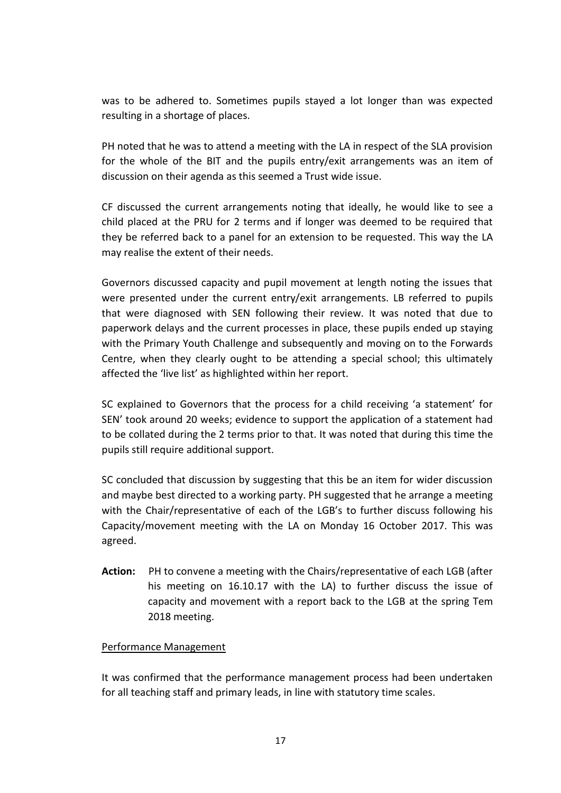was to be adhered to. Sometimes pupils stayed a lot longer than was expected resulting in a shortage of places.

PH noted that he was to attend a meeting with the LA in respect of the SLA provision for the whole of the BIT and the pupils entry/exit arrangements was an item of discussion on their agenda as this seemed a Trust wide issue.

CF discussed the current arrangements noting that ideally, he would like to see a child placed at the PRU for 2 terms and if longer was deemed to be required that they be referred back to a panel for an extension to be requested. This way the LA may realise the extent of their needs.

Governors discussed capacity and pupil movement at length noting the issues that were presented under the current entry/exit arrangements. LB referred to pupils that were diagnosed with SEN following their review. It was noted that due to paperwork delays and the current processes in place, these pupils ended up staying with the Primary Youth Challenge and subsequently and moving on to the Forwards Centre, when they clearly ought to be attending a special school; this ultimately affected the 'live list' as highlighted within her report.

SC explained to Governors that the process for a child receiving 'a statement' for SEN' took around 20 weeks; evidence to support the application of a statement had to be collated during the 2 terms prior to that. It was noted that during this time the pupils still require additional support.

SC concluded that discussion by suggesting that this be an item for wider discussion and maybe best directed to a working party. PH suggested that he arrange a meeting with the Chair/representative of each of the LGB's to further discuss following his Capacity/movement meeting with the LA on Monday 16 October 2017. This was agreed.

**Action:** PH to convene a meeting with the Chairs/representative of each LGB (after his meeting on 16.10.17 with the LA) to further discuss the issue of capacity and movement with a report back to the LGB at the spring Tem 2018 meeting.

#### Performance Management

It was confirmed that the performance management process had been undertaken for all teaching staff and primary leads, in line with statutory time scales.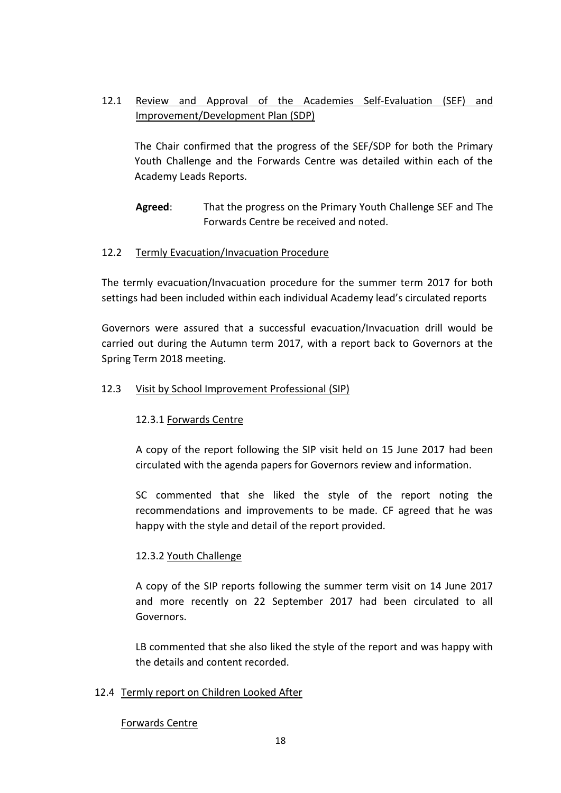# 12.1 Review and Approval of the Academies Self-Evaluation (SEF) and Improvement/Development Plan (SDP)

The Chair confirmed that the progress of the SEF/SDP for both the Primary Youth Challenge and the Forwards Centre was detailed within each of the Academy Leads Reports.

**Agreed**: That the progress on the Primary Youth Challenge SEF and The Forwards Centre be received and noted.

# 12.2 Termly Evacuation/Invacuation Procedure

The termly evacuation/Invacuation procedure for the summer term 2017 for both settings had been included within each individual Academy lead's circulated reports

Governors were assured that a successful evacuation/Invacuation drill would be carried out during the Autumn term 2017, with a report back to Governors at the Spring Term 2018 meeting.

# 12.3 Visit by School Improvement Professional (SIP)

# 12.3.1 Forwards Centre

A copy of the report following the SIP visit held on 15 June 2017 had been circulated with the agenda papers for Governors review and information.

SC commented that she liked the style of the report noting the recommendations and improvements to be made. CF agreed that he was happy with the style and detail of the report provided.

# 12.3.2 Youth Challenge

A copy of the SIP reports following the summer term visit on 14 June 2017 and more recently on 22 September 2017 had been circulated to all Governors.

LB commented that she also liked the style of the report and was happy with the details and content recorded.

# 12.4 Termly report on Children Looked After

# Forwards Centre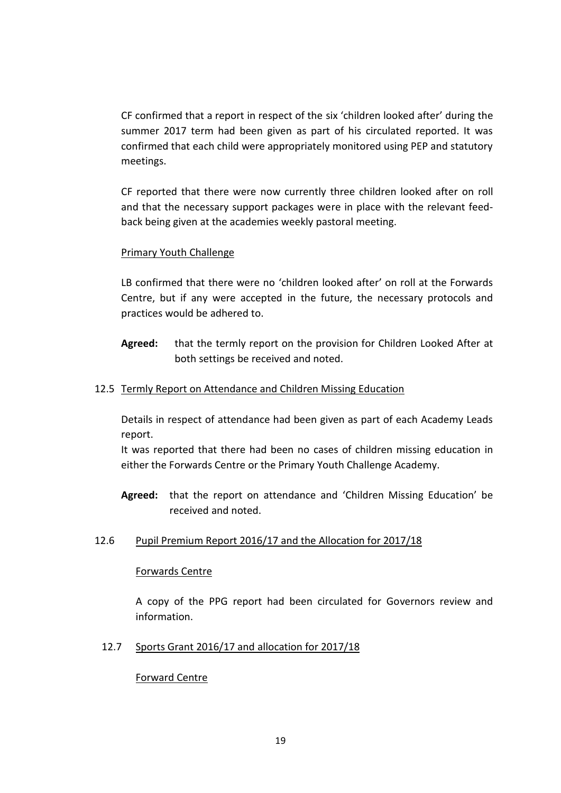CF confirmed that a report in respect of the six 'children looked after' during the summer 2017 term had been given as part of his circulated reported. It was confirmed that each child were appropriately monitored using PEP and statutory meetings.

CF reported that there were now currently three children looked after on roll and that the necessary support packages were in place with the relevant feedback being given at the academies weekly pastoral meeting.

### Primary Youth Challenge

LB confirmed that there were no 'children looked after' on roll at the Forwards Centre, but if any were accepted in the future, the necessary protocols and practices would be adhered to.

**Agreed:** that the termly report on the provision for Children Looked After at both settings be received and noted.

#### 12.5 Termly Report on Attendance and Children Missing Education

Details in respect of attendance had been given as part of each Academy Leads report.

It was reported that there had been no cases of children missing education in either the Forwards Centre or the Primary Youth Challenge Academy.

- **Agreed:** that the report on attendance and 'Children Missing Education' be received and noted.
- 12.6 Pupil Premium Report 2016/17 and the Allocation for 2017/18

#### Forwards Centre

A copy of the PPG report had been circulated for Governors review and information.

12.7 Sports Grant 2016/17 and allocation for 2017/18

#### Forward Centre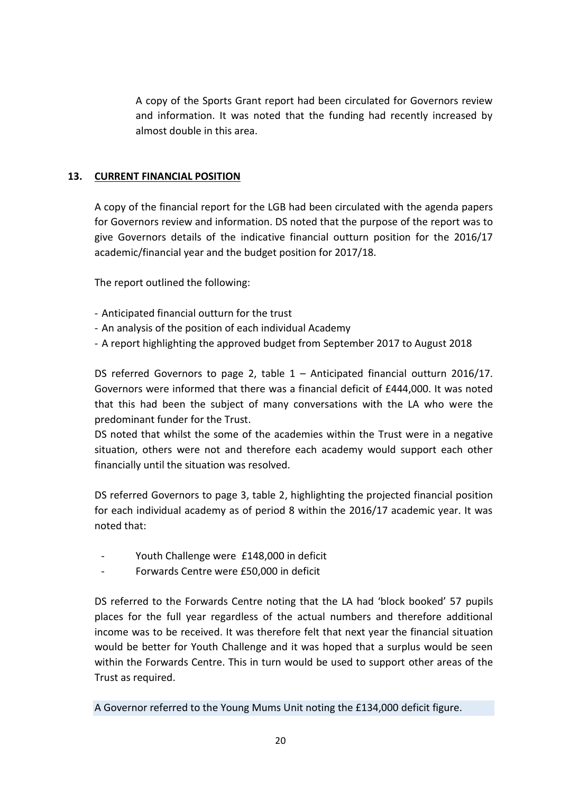A copy of the Sports Grant report had been circulated for Governors review and information. It was noted that the funding had recently increased by almost double in this area.

# **13. CURRENT FINANCIAL POSITION**

A copy of the financial report for the LGB had been circulated with the agenda papers for Governors review and information. DS noted that the purpose of the report was to give Governors details of the indicative financial outturn position for the 2016/17 academic/financial year and the budget position for 2017/18.

The report outlined the following:

- Anticipated financial outturn for the trust
- An analysis of the position of each individual Academy
- A report highlighting the approved budget from September 2017 to August 2018

DS referred Governors to page 2, table 1 – Anticipated financial outturn 2016/17. Governors were informed that there was a financial deficit of £444,000. It was noted that this had been the subject of many conversations with the LA who were the predominant funder for the Trust.

DS noted that whilst the some of the academies within the Trust were in a negative situation, others were not and therefore each academy would support each other financially until the situation was resolved.

DS referred Governors to page 3, table 2, highlighting the projected financial position for each individual academy as of period 8 within the 2016/17 academic year. It was noted that:

- Youth Challenge were £148,000 in deficit
- Forwards Centre were £50,000 in deficit

DS referred to the Forwards Centre noting that the LA had 'block booked' 57 pupils places for the full year regardless of the actual numbers and therefore additional income was to be received. It was therefore felt that next year the financial situation would be better for Youth Challenge and it was hoped that a surplus would be seen within the Forwards Centre. This in turn would be used to support other areas of the Trust as required.

A Governor referred to the Young Mums Unit noting the £134,000 deficit figure.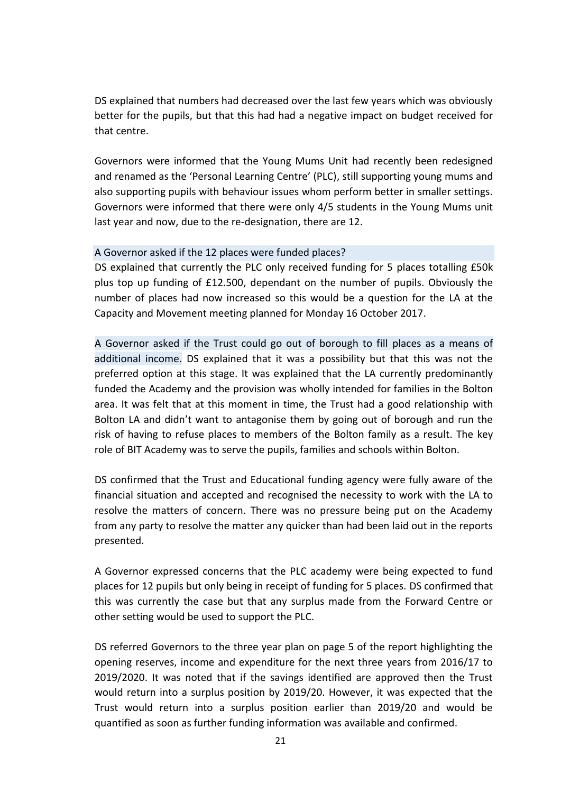DS explained that numbers had decreased over the last few years which was obviously better for the pupils, but that this had had a negative impact on budget received for that centre.

Governors were informed that the Young Mums Unit had recently been redesigned and renamed as the 'Personal Learning Centre' (PLC), still supporting young mums and also supporting pupils with behaviour issues whom perform better in smaller settings. Governors were informed that there were only 4/5 students in the Young Mums unit last year and now, due to the re-designation, there are 12.

#### A Governor asked if the 12 places were funded places?

DS explained that currently the PLC only received funding for 5 places totalling £50k plus top up funding of £12.500, dependant on the number of pupils. Obviously the number of places had now increased so this would be a question for the LA at the Capacity and Movement meeting planned for Monday 16 October 2017.

A Governor asked if the Trust could go out of borough to fill places as a means of additional income. DS explained that it was a possibility but that this was not the preferred option at this stage. It was explained that the LA currently predominantly funded the Academy and the provision was wholly intended for families in the Bolton area. It was felt that at this moment in time, the Trust had a good relationship with Bolton LA and didn't want to antagonise them by going out of borough and run the risk of having to refuse places to members of the Bolton family as a result. The key role of BIT Academy was to serve the pupils, families and schools within Bolton.

DS confirmed that the Trust and Educational funding agency were fully aware of the financial situation and accepted and recognised the necessity to work with the LA to resolve the matters of concern. There was no pressure being put on the Academy from any party to resolve the matter any quicker than had been laid out in the reports presented.

A Governor expressed concerns that the PLC academy were being expected to fund places for 12 pupils but only being in receipt of funding for 5 places. DS confirmed that this was currently the case but that any surplus made from the Forward Centre or other setting would be used to support the PLC.

DS referred Governors to the three year plan on page 5 of the report highlighting the opening reserves, income and expenditure for the next three years from 2016/17 to 2019/2020. It was noted that if the savings identified are approved then the Trust would return into a surplus position by 2019/20. However, it was expected that the Trust would return into a surplus position earlier than 2019/20 and would be quantified as soon as further funding information was available and confirmed.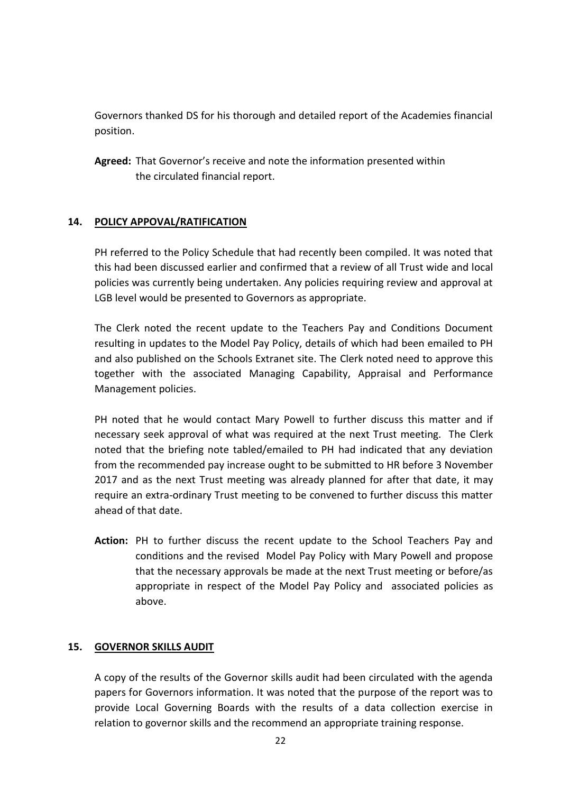Governors thanked DS for his thorough and detailed report of the Academies financial position.

**Agreed:** That Governor's receive and note the information presented within the circulated financial report.

# **14. POLICY APPOVAL/RATIFICATION**

PH referred to the Policy Schedule that had recently been compiled. It was noted that this had been discussed earlier and confirmed that a review of all Trust wide and local policies was currently being undertaken. Any policies requiring review and approval at LGB level would be presented to Governors as appropriate.

The Clerk noted the recent update to the Teachers Pay and Conditions Document resulting in updates to the Model Pay Policy, details of which had been emailed to PH and also published on the Schools Extranet site. The Clerk noted need to approve this together with the associated Managing Capability, Appraisal and Performance Management policies.

PH noted that he would contact Mary Powell to further discuss this matter and if necessary seek approval of what was required at the next Trust meeting. The Clerk noted that the briefing note tabled/emailed to PH had indicated that any deviation from the recommended pay increase ought to be submitted to HR before 3 November 2017 and as the next Trust meeting was already planned for after that date, it may require an extra-ordinary Trust meeting to be convened to further discuss this matter ahead of that date.

**Action:** PH to further discuss the recent update to the School Teachers Pay and conditions and the revised Model Pay Policy with Mary Powell and propose that the necessary approvals be made at the next Trust meeting or before/as appropriate in respect of the Model Pay Policy and associated policies as above.

# **15. GOVERNOR SKILLS AUDIT**

A copy of the results of the Governor skills audit had been circulated with the agenda papers for Governors information. It was noted that the purpose of the report was to provide Local Governing Boards with the results of a data collection exercise in relation to governor skills and the recommend an appropriate training response.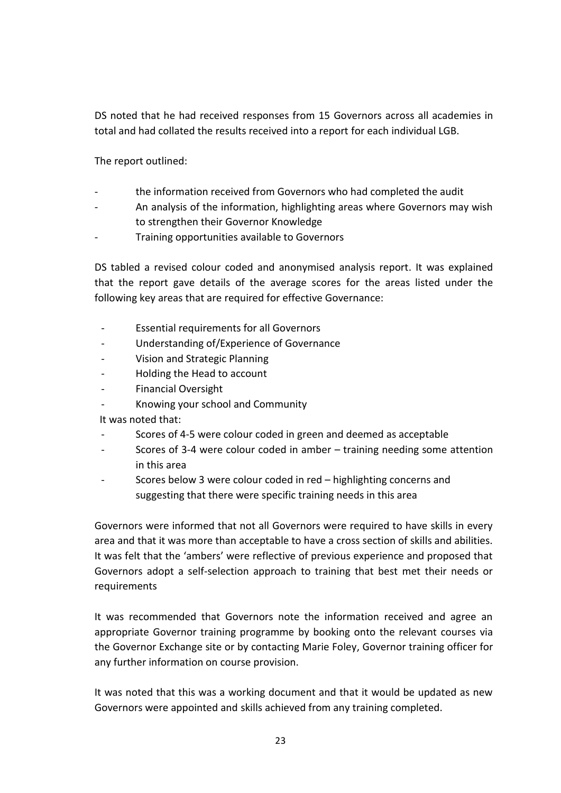DS noted that he had received responses from 15 Governors across all academies in total and had collated the results received into a report for each individual LGB.

The report outlined:

- the information received from Governors who had completed the audit
- An analysis of the information, highlighting areas where Governors may wish to strengthen their Governor Knowledge
- Training opportunities available to Governors

DS tabled a revised colour coded and anonymised analysis report. It was explained that the report gave details of the average scores for the areas listed under the following key areas that are required for effective Governance:

- Essential requirements for all Governors
- Understanding of/Experience of Governance
- Vision and Strategic Planning
- Holding the Head to account
- Financial Oversight
- Knowing your school and Community

It was noted that:

- Scores of 4-5 were colour coded in green and deemed as acceptable
- Scores of 3-4 were colour coded in amber training needing some attention in this area
- Scores below 3 were colour coded in red highlighting concerns and suggesting that there were specific training needs in this area

Governors were informed that not all Governors were required to have skills in every area and that it was more than acceptable to have a cross section of skills and abilities. It was felt that the 'ambers' were reflective of previous experience and proposed that Governors adopt a self-selection approach to training that best met their needs or **requirements** 

It was recommended that Governors note the information received and agree an appropriate Governor training programme by booking onto the relevant courses via the Governor Exchange site or by contacting Marie Foley, Governor training officer for any further information on course provision.

It was noted that this was a working document and that it would be updated as new Governors were appointed and skills achieved from any training completed.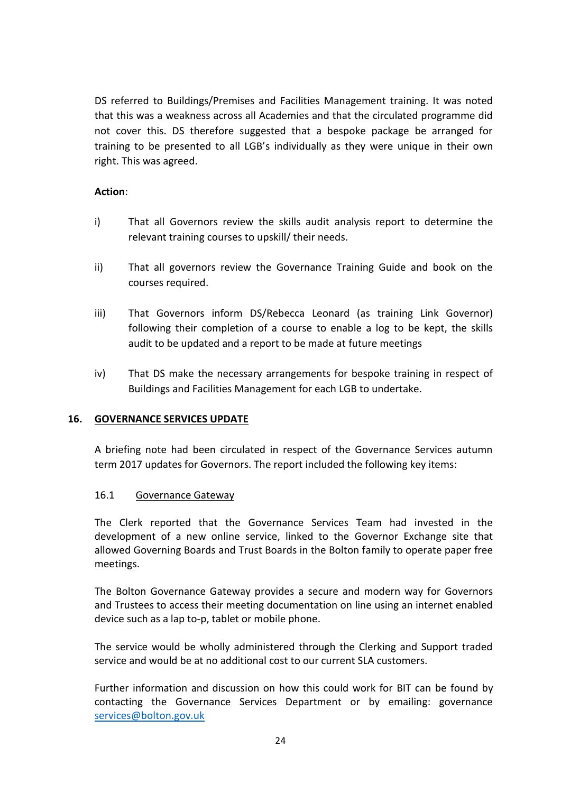DS referred to Buildings/Premises and Facilities Management training. It was noted that this was a weakness across all Academies and that the circulated programme did not cover this. DS therefore suggested that a bespoke package be arranged for training to be presented to all LGB's individually as they were unique in their own right. This was agreed.

# **Action**:

- i) That all Governors review the skills audit analysis report to determine the relevant training courses to upskill/ their needs.
- ii) That all governors review the Governance Training Guide and book on the courses required.
- iii) That Governors inform DS/Rebecca Leonard (as training Link Governor) following their completion of a course to enable a log to be kept, the skills audit to be updated and a report to be made at future meetings
- iv) That DS make the necessary arrangements for bespoke training in respect of Buildings and Facilities Management for each LGB to undertake.

# **16. GOVERNANCE SERVICES UPDATE**

A briefing note had been circulated in respect of the Governance Services autumn term 2017 updates for Governors. The report included the following key items:

# 16.1 Governance Gateway

The Clerk reported that the Governance Services Team had invested in the development of a new online service, linked to the Governor Exchange site that allowed Governing Boards and Trust Boards in the Bolton family to operate paper free meetings.

The Bolton Governance Gateway provides a secure and modern way for Governors and Trustees to access their meeting documentation on line using an internet enabled device such as a lap to-p, tablet or mobile phone.

The service would be wholly administered through the Clerking and Support traded service and would be at no additional cost to our current SLA customers.

Further information and discussion on how this could work for BIT can be found by contacting the Governance Services Department or by emailing: governance [services@bolton.gov.uk](mailto:services@bolton.gov.uk)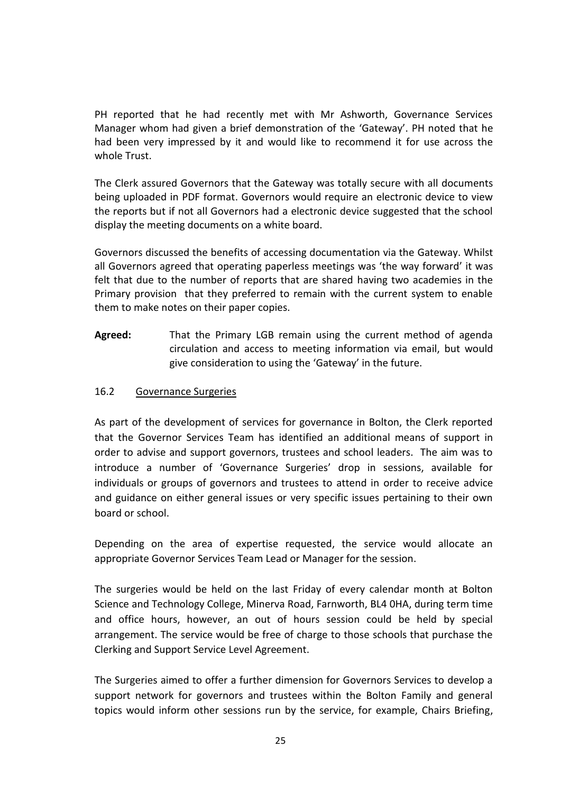PH reported that he had recently met with Mr Ashworth, Governance Services Manager whom had given a brief demonstration of the 'Gateway'. PH noted that he had been very impressed by it and would like to recommend it for use across the whole Trust.

The Clerk assured Governors that the Gateway was totally secure with all documents being uploaded in PDF format. Governors would require an electronic device to view the reports but if not all Governors had a electronic device suggested that the school display the meeting documents on a white board.

Governors discussed the benefits of accessing documentation via the Gateway. Whilst all Governors agreed that operating paperless meetings was 'the way forward' it was felt that due to the number of reports that are shared having two academies in the Primary provision that they preferred to remain with the current system to enable them to make notes on their paper copies.

**Agreed:** That the Primary LGB remain using the current method of agenda circulation and access to meeting information via email, but would give consideration to using the 'Gateway' in the future.

### 16.2 Governance Surgeries

As part of the development of services for governance in Bolton, the Clerk reported that the Governor Services Team has identified an additional means of support in order to advise and support governors, trustees and school leaders. The aim was to introduce a number of 'Governance Surgeries' drop in sessions, available for individuals or groups of governors and trustees to attend in order to receive advice and guidance on either general issues or very specific issues pertaining to their own board or school.

Depending on the area of expertise requested, the service would allocate an appropriate Governor Services Team Lead or Manager for the session.

The surgeries would be held on the last Friday of every calendar month at Bolton Science and Technology College, Minerva Road, Farnworth, BL4 0HA, during term time and office hours, however, an out of hours session could be held by special arrangement. The service would be free of charge to those schools that purchase the Clerking and Support Service Level Agreement.

The Surgeries aimed to offer a further dimension for Governors Services to develop a support network for governors and trustees within the Bolton Family and general topics would inform other sessions run by the service, for example, Chairs Briefing,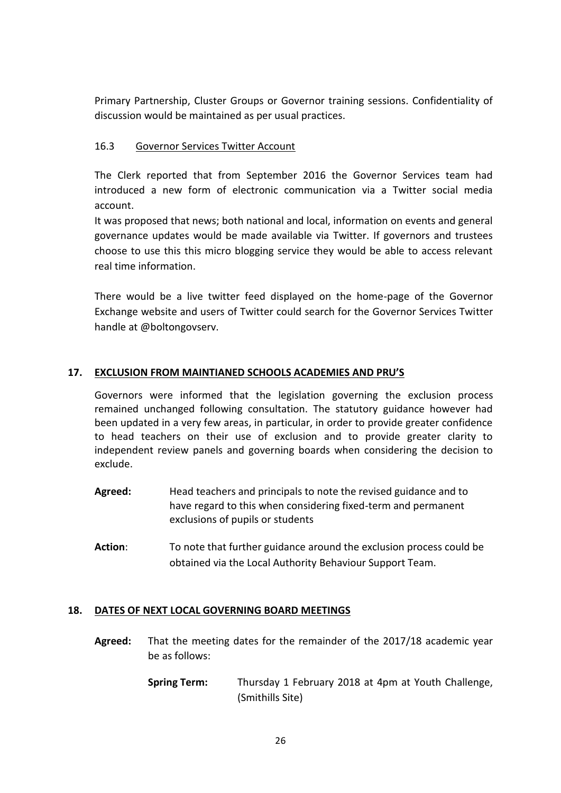Primary Partnership, Cluster Groups or Governor training sessions. Confidentiality of discussion would be maintained as per usual practices.

# 16.3 Governor Services Twitter Account

The Clerk reported that from September 2016 the Governor Services team had introduced a new form of electronic communication via a Twitter social media account.

It was proposed that news; both national and local, information on events and general governance updates would be made available via Twitter. If governors and trustees choose to use this this micro blogging service they would be able to access relevant real time information.

There would be a live twitter feed displayed on the home-page of the Governor Exchange website and users of Twitter could search for the Governor Services Twitter handle at @boltongovserv.

### **17. EXCLUSION FROM MAINTIANED SCHOOLS ACADEMIES AND PRU'S**

Governors were informed that the legislation governing the exclusion process remained unchanged following consultation. The statutory guidance however had been updated in a very few areas, in particular, in order to provide greater confidence to head teachers on their use of exclusion and to provide greater clarity to independent review panels and governing boards when considering the decision to exclude.

- **Agreed:** Head teachers and principals to note the revised guidance and to have regard to this when considering fixed-term and permanent exclusions of pupils or students
- **Action**: To note that further guidance around the exclusion process could be obtained via the Local Authority Behaviour Support Team.

#### **18. DATES OF NEXT LOCAL GOVERNING BOARD MEETINGS**

- **Agreed:** That the meeting dates for the remainder of the 2017/18 academic year be as follows:
	- **Spring Term:** Thursday 1 February 2018 at 4pm at Youth Challenge, (Smithills Site)